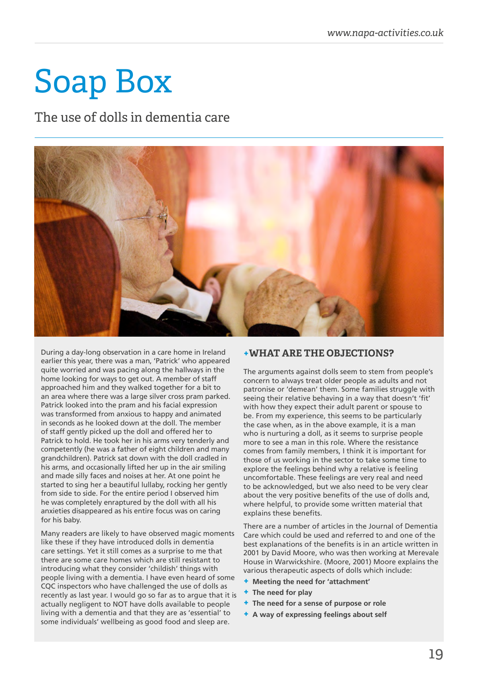# Soap Box

The use of dolls in dementia care



During a day-long observation in a care home in Ireland earlier this year, there was a man, 'Patrick' who appeared quite worried and was pacing along the hallways in the home looking for ways to get out. A member of staff approached him and they walked together for a bit to an area where there was a large silver cross pram parked. Patrick looked into the pram and his facial expression was transformed from anxious to happy and animated in seconds as he looked down at the doll. The member of staff gently picked up the doll and offered her to Patrick to hold. He took her in his arms very tenderly and competently (he was a father of eight children and many grandchildren). Patrick sat down with the doll cradled in his arms, and occasionally lifted her up in the air smiling and made silly faces and noises at her. At one point he started to sing her a beautiful lullaby, rocking her gently from side to side. For the entire period I observed him he was completely enraptured by the doll with all his anxieties disappeared as his entire focus was on caring for his baby.

Many readers are likely to have observed magic moments like these if they have introduced dolls in dementia care settings. Yet it still comes as a surprise to me that there are some care homes which are still resistant to introducing what they consider 'childish' things with people living with a dementia. I have even heard of some CQC inspectors who have challenged the use of dolls as recently as last year. I would go so far as to argue that it is actually negligent to NOT have dolls available to people living with a dementia and that they are as 'essential' to some individuals' wellbeing as good food and sleep are.

### **+WHAT ARE THE OBJECTIONS?**

The arguments against dolls seem to stem from people's concern to always treat older people as adults and not patronise or 'demean' them. Some families struggle with seeing their relative behaving in a way that doesn't 'fit' with how they expect their adult parent or spouse to be. From my experience, this seems to be particularly the case when, as in the above example, it is a man who is nurturing a doll, as it seems to surprise people more to see a man in this role. Where the resistance comes from family members, I think it is important for those of us working in the sector to take some time to explore the feelings behind why a relative is feeling uncomfortable. These feelings are very real and need to be acknowledged, but we also need to be very clear about the very positive benefits of the use of dolls and, where helpful, to provide some written material that explains these benefits.

There are a number of articles in the Journal of Dementia Care which could be used and referred to and one of the best explanations of the benefits is in an article written in 2001 by David Moore, who was then working at Merevale House in Warwickshire. (Moore, 2001) Moore explains the various therapeutic aspects of dolls which include:

- **+ Meeting the need for 'attachment'**
- **+ The need for play**
- **+ The need for a sense of purpose or role**
- **+ A way of expressing feelings about self**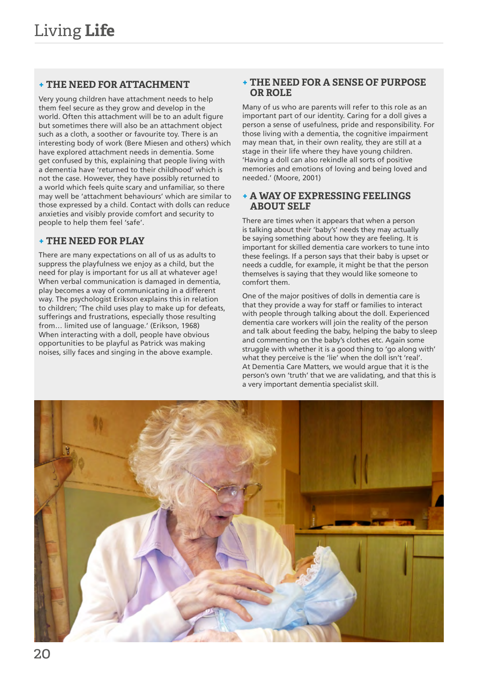## **+ THE NEED FOR ATTACHMENT**

Very young children have attachment needs to help them feel secure as they grow and develop in the world. Often this attachment will be to an adult figure but sometimes there will also be an attachment object such as a cloth, a soother or favourite toy. There is an interesting body of work (Bere Miesen and others) which have explored attachment needs in dementia. Some get confused by this, explaining that people living with a dementia have 'returned to their childhood' which is not the case. However, they have possibly returned to a world which feels quite scary and unfamiliar, so there may well be 'attachment behaviours' which are similar to those expressed by a child. Contact with dolls can reduce anxieties and visibly provide comfort and security to people to help them feel 'safe'.

## **+ THE NEED FOR PLAY**

There are many expectations on all of us as adults to suppress the playfulness we enjoy as a child, but the need for play is important for us all at whatever age! When verbal communication is damaged in dementia, play becomes a way of communicating in a different way. The psychologist Erikson explains this in relation to children; 'The child uses play to make up for defeats, sufferings and frustrations, especially those resulting from… limited use of language.' (Erikson, 1968) When interacting with a doll, people have obvious opportunities to be playful as Patrick was making noises, silly faces and singing in the above example.

#### **+ THE NEED FOR A SENSE OF PURPOSE OR ROLE**

Many of us who are parents will refer to this role as an important part of our identity. Caring for a doll gives a person a sense of usefulness, pride and responsibility. For those living with a dementia, the cognitive impairment may mean that, in their own reality, they are still at a stage in their life where they have young children. 'Having a doll can also rekindle all sorts of positive memories and emotions of loving and being loved and needed.' (Moore, 2001)

#### **+ A WAY OF EXPRESSING FEELINGS ABOUT SELF**

There are times when it appears that when a person is talking about their 'baby's' needs they may actually be saying something about how they are feeling. It is important for skilled dementia care workers to tune into these feelings. If a person says that their baby is upset or needs a cuddle, for example, it might be that the person themselves is saying that they would like someone to comfort them.

One of the major positives of dolls in dementia care is that they provide a way for staff or families to interact with people through talking about the doll. Experienced dementia care workers will join the reality of the person and talk about feeding the baby, helping the baby to sleep and commenting on the baby's clothes etc. Again some struggle with whether it is a good thing to 'go along with' what they perceive is the 'lie' when the doll isn't 'real'. At Dementia Care Matters, we would argue that it is the person's own 'truth' that we are validating, and that this is a very important dementia specialist skill.